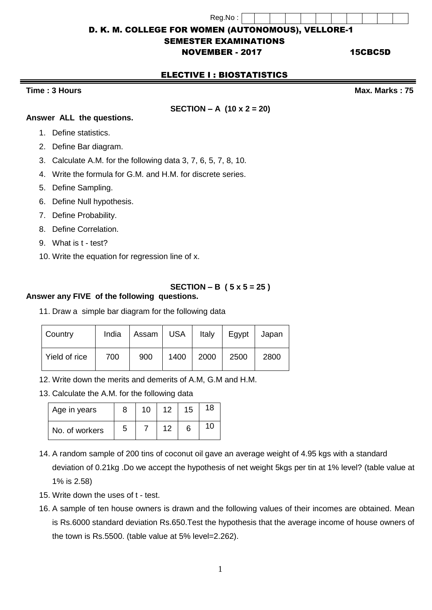Reg.No : D. K. M. COLLEGE FOR WOMEN (AUTONOMOUS), VELLORE-1

## SEMESTER EXAMINATIONS

# NOVEMBER - 2017 15CBC5D

# ELECTIVE I : BIOSTATISTICS

#### **Time : 3 Hours Max. Marks : 75**

# **SECTION – A (10 x 2 = 20)**

#### **Answer ALL the questions.**

- 1. Define statistics.
- 2. Define Bar diagram.
- 3. Calculate A.M. for the following data 3, 7, 6, 5, 7, 8, 10.
- 4. Write the formula for G.M. and H.M. for discrete series.
- 5. Define Sampling.
- 6. Define Null hypothesis.
- 7. Define Probability.
- 8. Define Correlation.
- 9. What is t test?
- 10. Write the equation for regression line of x.

# **SECTION – B ( 5 x 5 = 25 )**

### **Answer any FIVE of the following questions.**

11. Draw a simple bar diagram for the following data

| Country       | India | Assam I | USA  | Italy | Egypt | Japan |
|---------------|-------|---------|------|-------|-------|-------|
| Yield of rice | 700   | 900     | 1400 | 2000  | 2500  | 2800  |

12. Write down the merits and demerits of A.M, G.M and H.M.

13. Calculate the A.M. for the following data

| Age in years   |   | 10 | 12 | 15 | 18 |
|----------------|---|----|----|----|----|
| No. of workers | 5 |    | イク |    | 10 |

- 14. A random sample of 200 tins of coconut oil gave an average weight of 4.95 kgs with a standard deviation of 0.21kg .Do we accept the hypothesis of net weight 5kgs per tin at 1% level? (table value at 1% is 2.58)
- 15. Write down the uses of t test.
- 16. A sample of ten house owners is drawn and the following values of their incomes are obtained. Mean is Rs.6000 standard deviation Rs.650.Test the hypothesis that the average income of house owners of the town is Rs.5500. (table value at 5% level=2.262).